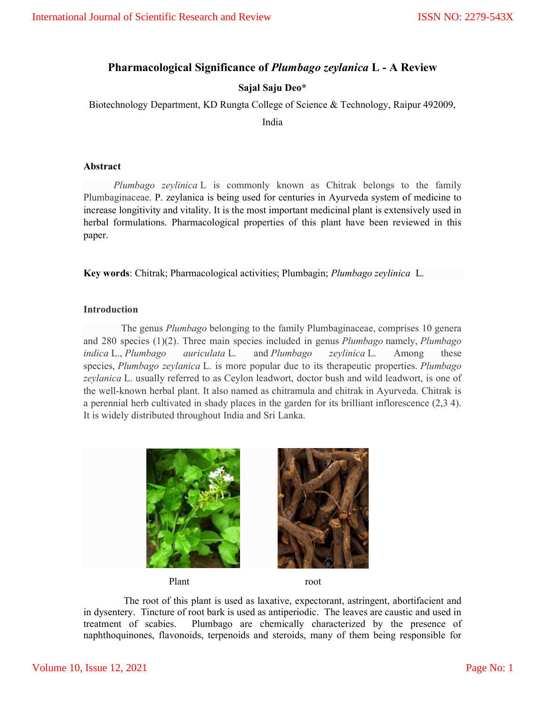# Pharmacological Significance of Plumbago zeylanica L - A Review

## Sajal Saju Deo\*

Biotechnology Department, KD Rungta College of Science & Technology, Raipur 492009,

India

#### Abstract

 Plumbago zeylinica L is commonly known as Chitrak belongs to the family Plumbaginaceae. P. zeylanica is being used for centuries in Ayurveda system of medicine to increase longitivity and vitality. It is the most important medicinal plant is extensively used in herbal formulations. Pharmacological properties of this plant have been reviewed in this paper.

Key words: Chitrak; Pharmacological activities; Plumbagin; Plumbago zeylinica L.

## Introduction

 The genus Plumbago belonging to the family Plumbaginaceae, comprises 10 genera and 280 species  $(1)(2)$ . Three main species included in genus *Plumbago* namely, *Plumbago* indica L., Plumbago auriculata L. and Plumbago zeylinica L. Among these species, *Plumbago zeylanica* L. is more popular due to its therapeutic properties. *Plumbago* zeylanica L. usually referred to as Ceylon leadwort, doctor bush and wild leadwort, is one of the well-known herbal plant. It also named as chitramula and chitrak in Ayurveda. Chitrak is a perennial herb cultivated in shady places in the garden for its brilliant inflorescence (2,3 4). It is widely distributed throughout India and Sri Lanka.



Plant root

 The root of this plant is used as laxative, expectorant, astringent, abortifacient and in dysentery. Tincture of root bark is used as antiperiodic. The leaves are caustic and used in treatment of scabies. Plumbago are chemically characterized by the presence of naphthoquinones, flavonoids, terpenoids and steroids, many of them being responsible for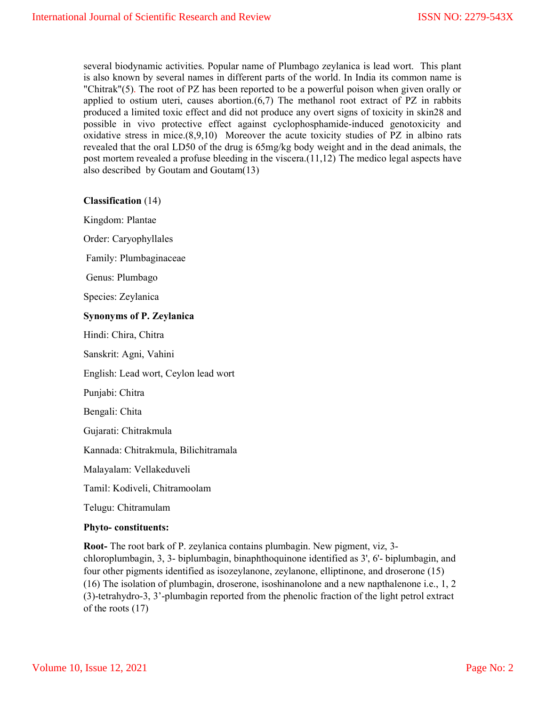several biodynamic activities. Popular name of Plumbago zeylanica is lead wort. This plant is also known by several names in different parts of the world. In India its common name is "Chitrak"(5). The root of PZ has been reported to be a powerful poison when given orally or applied to ostium uteri, causes abortion. $(6,7)$  The methanol root extract of PZ in rabbits produced a limited toxic effect and did not produce any overt signs of toxicity in skin28 and possible in vivo protective effect against cyclophosphamide-induced genotoxicity and oxidative stress in mice.(8,9,10) Moreover the acute toxicity studies of PZ in albino rats revealed that the oral LD50 of the drug is 65mg/kg body weight and in the dead animals, the post mortem revealed a profuse bleeding in the viscera.(11,12) The medico legal aspects have also described by Goutam and Goutam(13)

Classification (14)

Kingdom: Plantae

Order: Caryophyllales

Family: Plumbaginaceae

Genus: Plumbago

Species: Zeylanica

#### Synonyms of P. Zeylanica

Hindi: Chira, Chitra

Sanskrit: Agni, Vahini

English: Lead wort, Ceylon lead wort

Punjabi: Chitra

Bengali: Chita

Gujarati: Chitrakmula

Kannada: Chitrakmula, Bilichitramala

Malayalam: Vellakeduveli

Tamil: Kodiveli, Chitramoolam

Telugu: Chitramulam

#### Phyto- constituents:

Root- The root bark of P. zeylanica contains plumbagin. New pigment, viz, 3 chloroplumbagin, 3, 3- biplumbagin, binaphthoquinone identified as 3', 6'- biplumbagin, and four other pigments identified as isozeylanone, zeylanone, elliptinone, and droserone (15) (16) The isolation of plumbagin, droserone, isoshinanolone and a new napthalenone i.e., 1, 2 (3)-tetrahydro-3, 3'-plumbagin reported from the phenolic fraction of the light petrol extract of the roots (17)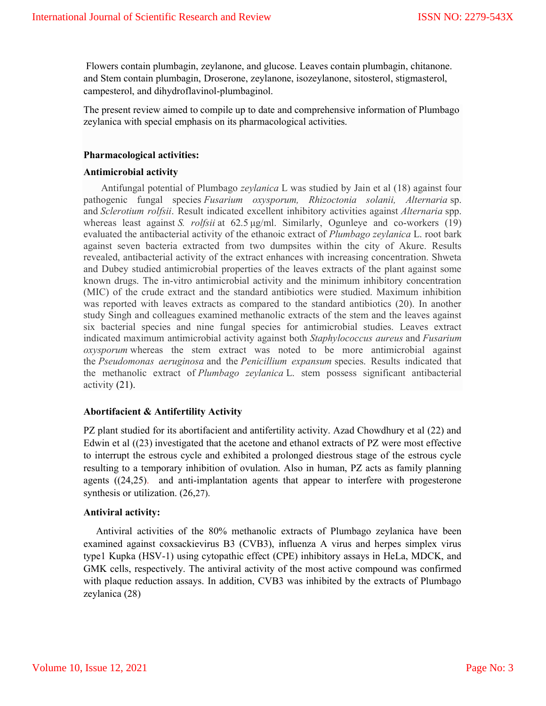Flowers contain plumbagin, zeylanone, and glucose. Leaves contain plumbagin, chitanone. and Stem contain plumbagin, Droserone, zeylanone, isozeylanone, sitosterol, stigmasterol, campesterol, and dihydroflavinol-plumbaginol.

The present review aimed to compile up to date and comprehensive information of Plumbago zeylanica with special emphasis on its pharmacological activities.

### Pharmacological activities:

#### Antimicrobial activity

 Antifungal potential of Plumbago zeylanica L was studied by Jain et al (18) against four pathogenic fungal species Fusarium oxysporum, Rhizoctonia solanii, Alternaria sp. and Sclerotium rolfsii. Result indicated excellent inhibitory activities against Alternaria spp. whereas least against *S. rolfsii* at  $62.5 \mu g/ml$ . Similarly, Ogunleye and co-workers  $(19)$ evaluated the antibacterial activity of the ethanoic extract of Plumbago zeylanica L. root bark against seven bacteria extracted from two dumpsites within the city of Akure. Results revealed, antibacterial activity of the extract enhances with increasing concentration. Shweta and Dubey studied antimicrobial properties of the leaves extracts of the plant against some known drugs. The in-vitro antimicrobial activity and the minimum inhibitory concentration (MIC) of the crude extract and the standard antibiotics were studied. Maximum inhibition was reported with leaves extracts as compared to the standard antibiotics (20). In another study Singh and colleagues examined methanolic extracts of the stem and the leaves against six bacterial species and nine fungal species for antimicrobial studies. Leaves extract indicated maximum antimicrobial activity against both Staphylococcus aureus and Fusarium oxysporum whereas the stem extract was noted to be more antimicrobial against the Pseudomonas aeruginosa and the Penicillium expansum species. Results indicated that the methanolic extract of Plumbago zeylanica L. stem possess significant antibacterial activity (21).

## Abortifacient & Antifertility Activity

PZ plant studied for its abortifacient and antifertility activity. Azad Chowdhury et al (22) and Edwin et al ((23) investigated that the acetone and ethanol extracts of PZ were most effective to interrupt the estrous cycle and exhibited a prolonged diestrous stage of the estrous cycle resulting to a temporary inhibition of ovulation. Also in human, PZ acts as family planning agents ((24,25). and anti-implantation agents that appear to interfere with progesterone synthesis or utilization. (26,27).

## Antiviral activity:

 Antiviral activities of the 80% methanolic extracts of Plumbago zeylanica have been examined against coxsackievirus B3 (CVB3), influenza A virus and herpes simplex virus type1 Kupka (HSV-1) using cytopathic effect (CPE) inhibitory assays in HeLa, MDCK, and GMK cells, respectively. The antiviral activity of the most active compound was confirmed with plaque reduction assays. In addition, CVB3 was inhibited by the extracts of Plumbago zeylanica (28)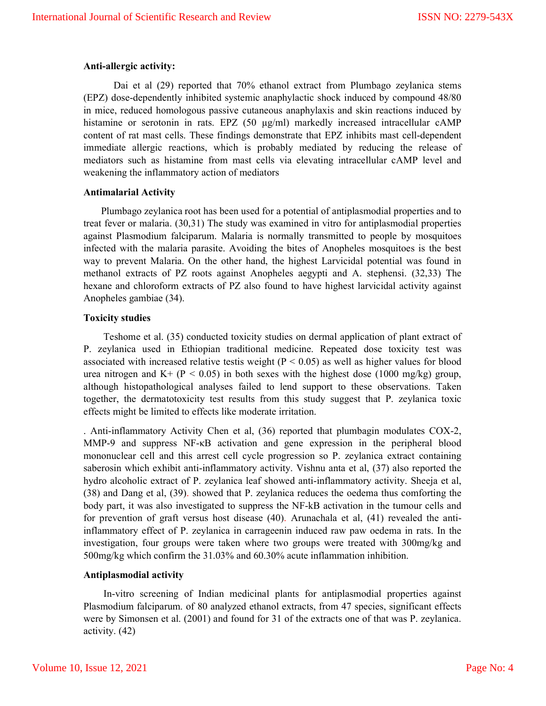#### Anti-allergic activity:

 Dai et al (29) reported that 70% ethanol extract from Plumbago zeylanica stems (EPZ) dose-dependently inhibited systemic anaphylactic shock induced by compound 48/80 in mice, reduced homologous passive cutaneous anaphylaxis and skin reactions induced by histamine or serotonin in rats. EPZ (50 µg/ml) markedly increased intracellular cAMP content of rat mast cells. These findings demonstrate that EPZ inhibits mast cell-dependent immediate allergic reactions, which is probably mediated by reducing the release of mediators such as histamine from mast cells via elevating intracellular cAMP level and weakening the inflammatory action of mediators

#### Antimalarial Activity

 Plumbago zeylanica root has been used for a potential of antiplasmodial properties and to treat fever or malaria. (30,31) The study was examined in vitro for antiplasmodial properties against Plasmodium falciparum. Malaria is normally transmitted to people by mosquitoes infected with the malaria parasite. Avoiding the bites of Anopheles mosquitoes is the best way to prevent Malaria. On the other hand, the highest Larvicidal potential was found in methanol extracts of PZ roots against Anopheles aegypti and A. stephensi. (32,33) The hexane and chloroform extracts of PZ also found to have highest larvicidal activity against Anopheles gambiae (34).

#### Toxicity studies

 Teshome et al. (35) conducted toxicity studies on dermal application of plant extract of P. zeylanica used in Ethiopian traditional medicine. Repeated dose toxicity test was associated with increased relative testis weight ( $P < 0.05$ ) as well as higher values for blood urea nitrogen and  $K^+$  (P < 0.05) in both sexes with the highest dose (1000 mg/kg) group, although histopathological analyses failed to lend support to these observations. Taken together, the dermatotoxicity test results from this study suggest that P. zeylanica toxic effects might be limited to effects like moderate irritation.

. Anti-inflammatory Activity Chen et al, (36) reported that plumbagin modulates COX-2, MMP-9 and suppress NF-κB activation and gene expression in the peripheral blood mononuclear cell and this arrest cell cycle progression so P. zeylanica extract containing saberosin which exhibit anti-inflammatory activity. Vishnu anta et al, (37) also reported the hydro alcoholic extract of P. zeylanica leaf showed anti-inflammatory activity. Sheeja et al, (38) and Dang et al, (39). showed that P. zeylanica reduces the oedema thus comforting the body part, it was also investigated to suppress the NF-kB activation in the tumour cells and for prevention of graft versus host disease (40). Arunachala et al, (41) revealed the antiinflammatory effect of P. zeylanica in carrageenin induced raw paw oedema in rats. In the investigation, four groups were taken where two groups were treated with 300mg/kg and 500mg/kg which confirm the 31.03% and 60.30% acute inflammation inhibition.

#### Antiplasmodial activity

 In-vitro screening of Indian medicinal plants for antiplasmodial properties against Plasmodium falciparum. of 80 analyzed ethanol extracts, from 47 species, significant effects were by Simonsen et al. (2001) and found for 31 of the extracts one of that was P. zeylanica. activity. (42)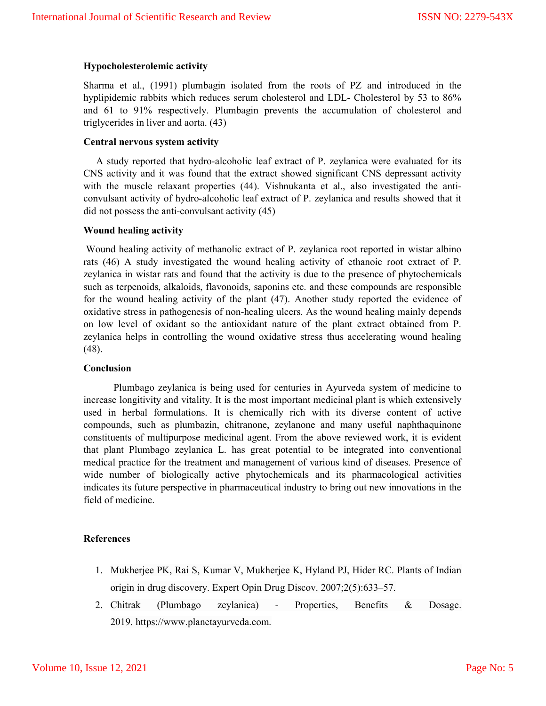## Hypocholesterolemic activity

Sharma et al., (1991) plumbagin isolated from the roots of PZ and introduced in the hyplipidemic rabbits which reduces serum cholesterol and LDL- Cholesterol by 53 to 86% and 61 to 91% respectively. Plumbagin prevents the accumulation of cholesterol and triglycerides in liver and aorta. (43)

## Central nervous system activity

 A study reported that hydro-alcoholic leaf extract of P. zeylanica were evaluated for its CNS activity and it was found that the extract showed significant CNS depressant activity with the muscle relaxant properties (44). Vishnukanta et al., also investigated the anticonvulsant activity of hydro-alcoholic leaf extract of P. zeylanica and results showed that it did not possess the anti-convulsant activity (45)

#### Wound healing activity

Wound healing activity of methanolic extract of P. zeylanica root reported in wistar albino rats (46) A study investigated the wound healing activity of ethanoic root extract of P. zeylanica in wistar rats and found that the activity is due to the presence of phytochemicals such as terpenoids, alkaloids, flavonoids, saponins etc. and these compounds are responsible for the wound healing activity of the plant (47). Another study reported the evidence of oxidative stress in pathogenesis of non-healing ulcers. As the wound healing mainly depends on low level of oxidant so the antioxidant nature of the plant extract obtained from P. zeylanica helps in controlling the wound oxidative stress thus accelerating wound healing (48).

#### Conclusion

 Plumbago zeylanica is being used for centuries in Ayurveda system of medicine to increase longitivity and vitality. It is the most important medicinal plant is which extensively used in herbal formulations. It is chemically rich with its diverse content of active compounds, such as plumbazin, chitranone, zeylanone and many useful naphthaquinone constituents of multipurpose medicinal agent. From the above reviewed work, it is evident that plant Plumbago zeylanica L. has great potential to be integrated into conventional medical practice for the treatment and management of various kind of diseases. Presence of wide number of biologically active phytochemicals and its pharmacological activities indicates its future perspective in pharmaceutical industry to bring out new innovations in the field of medicine.

## References

- 1. Mukherjee PK, Rai S, Kumar V, Mukherjee K, Hyland PJ, Hider RC. Plants of Indian origin in drug discovery. Expert Opin Drug Discov. 2007;2(5):633–57.
- 2. Chitrak (Plumbago zeylanica) Properties, Benefits & Dosage. 2019. https://www.planetayurveda.com.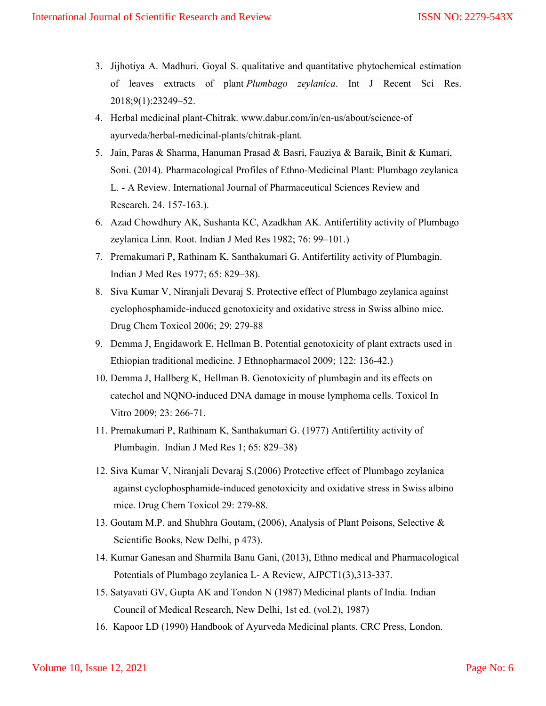- 3. Jijhotiya A. Madhuri. Goyal S. qualitative and quantitative phytochemical estimation of leaves extracts of plant Plumbago zeylanica. Int J Recent Sci Res. 2018;9(1):23249–52.
- 4. Herbal medicinal plant-Chitrak. www.dabur.com/in/en-us/about/science-of ayurveda/herbal-medicinal-plants/chitrak-plant.
- 5. Jain, Paras & Sharma, Hanuman Prasad & Basri, Fauziya & Baraik, Binit & Kumari, Soni. (2014). Pharmacological Profiles of Ethno-Medicinal Plant: Plumbago zeylanica L. - A Review. International Journal of Pharmaceutical Sciences Review and Research. 24. 157-163.).
- 6. Azad Chowdhury AK, Sushanta KC, Azadkhan AK. Antifertility activity of Plumbago zeylanica Linn. Root. Indian J Med Res 1982; 76: 99–101.)
- 7. Premakumari P, Rathinam K, Santhakumari G. Antifertility activity of Plumbagin. Indian J Med Res 1977; 65: 829–38).
- 8. Siva Kumar V, Niranjali Devaraj S. Protective effect of Plumbago zeylanica against cyclophosphamide-induced genotoxicity and oxidative stress in Swiss albino mice. Drug Chem Toxicol 2006; 29: 279-88
- 9. Demma J, Engidawork E, Hellman B. Potential genotoxicity of plant extracts used in Ethiopian traditional medicine. J Ethnopharmacol 2009; 122: 136-42.)
- 10. Demma J, Hallberg K, Hellman B. Genotoxicity of plumbagin and its effects on catechol and NQNO-induced DNA damage in mouse lymphoma cells. Toxicol In Vitro 2009; 23: 266-71.
- 11. Premakumari P, Rathinam K, Santhakumari G. (1977) Antifertility activity of Plumbagin. Indian J Med Res 1; 65: 829–38)
- 12. Siva Kumar V, Niranjali Devaraj S.(2006) Protective effect of Plumbago zeylanica against cyclophosphamide-induced genotoxicity and oxidative stress in Swiss albino mice. Drug Chem Toxicol 29: 279-88.
- 13. Goutam M.P. and Shubhra Goutam, (2006), Analysis of Plant Poisons, Selective & Scientific Books, New Delhi, p 473).
- 14. Kumar Ganesan and Sharmila Banu Gani, (2013), Ethno medical and Pharmacological Potentials of Plumbago zeylanica L- A Review, AJPCT1(3),313-337.
- 15. Satyavati GV, Gupta AK and Tondon N (1987) Medicinal plants of India. Indian Council of Medical Research, New Delhi, 1st ed. (vol.2), 1987)
- 16. Kapoor LD (1990) Handbook of Ayurveda Medicinal plants. CRC Press, London.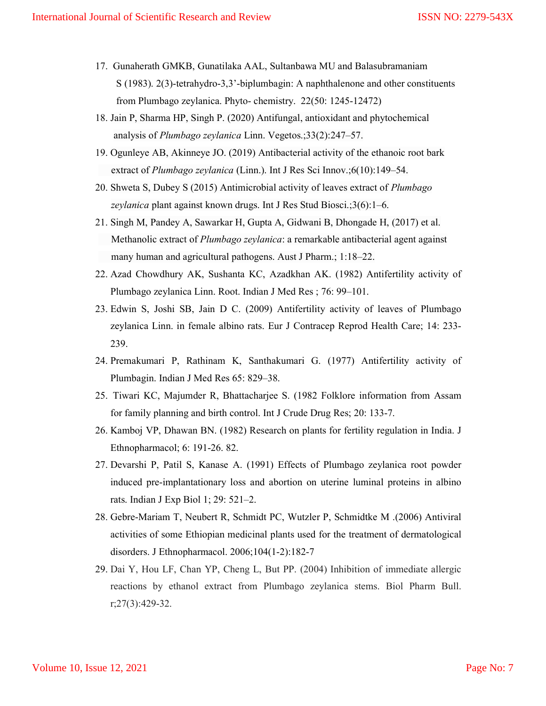- 17. Gunaherath GMKB, Gunatilaka AAL, Sultanbawa MU and Balasubramaniam S (1983). 2(3)-tetrahydro-3,3'-biplumbagin: A naphthalenone and other constituents from Plumbago zeylanica. Phyto- chemistry. 22(50: 1245-12472)
- 18. Jain P, Sharma HP, Singh P. (2020) Antifungal, antioxidant and phytochemical analysis of Plumbago zeylanica Linn. Vegetos.;33(2):247–57.
- 19. Ogunleye AB, Akinneye JO. (2019) Antibacterial activity of the ethanoic root bark extract of *Plumbago zeylanica* (Linn.). Int J Res Sci Innov.;6(10):149–54.
- 20. Shweta S, Dubey S (2015) Antimicrobial activity of leaves extract of Plumbago zeylanica plant against known drugs. Int J Res Stud Biosci.;3(6):1–6.
- 21. Singh M, Pandey A, Sawarkar H, Gupta A, Gidwani B, Dhongade H, (2017) et al. Methanolic extract of *Plumbago zeylanica*: a remarkable antibacterial agent against many human and agricultural pathogens. Aust J Pharm.; 1:18–22.
- 22. Azad Chowdhury AK, Sushanta KC, Azadkhan AK. (1982) Antifertility activity of Plumbago zeylanica Linn. Root. Indian J Med Res ; 76: 99–101.
- 23. Edwin S, Joshi SB, Jain D C. (2009) Antifertility activity of leaves of Plumbago zeylanica Linn. in female albino rats. Eur J Contracep Reprod Health Care; 14: 233- 239.
- 24. Premakumari P, Rathinam K, Santhakumari G. (1977) Antifertility activity of Plumbagin. Indian J Med Res 65: 829–38.
- 25. Tiwari KC, Majumder R, Bhattacharjee S. (1982 Folklore information from Assam for family planning and birth control. Int J Crude Drug Res; 20: 133-7.
- 26. Kamboj VP, Dhawan BN. (1982) Research on plants for fertility regulation in India. J Ethnopharmacol; 6: 191-26. 82.
- 27. Devarshi P, Patil S, Kanase A. (1991) Effects of Plumbago zeylanica root powder induced pre-implantationary loss and abortion on uterine luminal proteins in albino rats. Indian J Exp Biol 1; 29: 521–2.
- 28. Gebre-Mariam T, Neubert R, Schmidt PC, Wutzler P, Schmidtke M .(2006) Antiviral activities of some Ethiopian medicinal plants used for the treatment of dermatological disorders. J Ethnopharmacol. 2006;104(1-2):182-7
- 29. Dai Y, Hou LF, Chan YP, Cheng L, But PP. (2004) Inhibition of immediate allergic reactions by ethanol extract from Plumbago zeylanica stems. Biol Pharm Bull. r;27(3):429-32.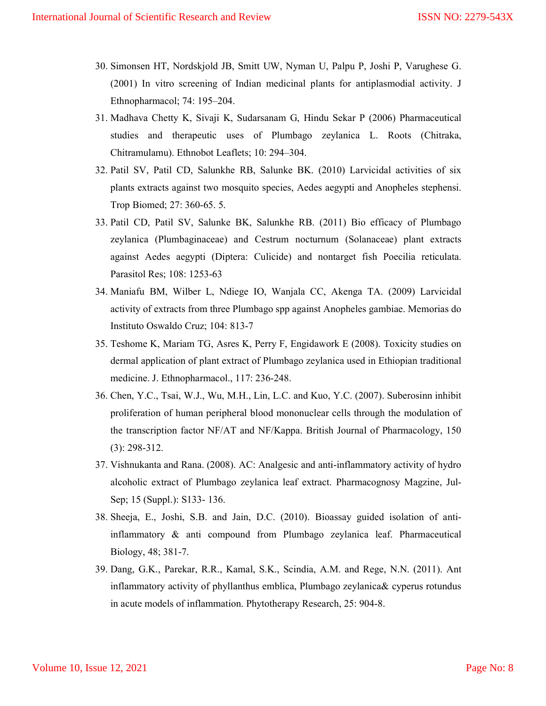- 30. Simonsen HT, Nordskjold JB, Smitt UW, Nyman U, Palpu P, Joshi P, Varughese G. (2001) In vitro screening of Indian medicinal plants for antiplasmodial activity. J Ethnopharmacol; 74: 195–204.
- 31. Madhava Chetty K, Sivaji K, Sudarsanam G, Hindu Sekar P (2006) Pharmaceutical studies and therapeutic uses of Plumbago zeylanica L. Roots (Chitraka, Chitramulamu). Ethnobot Leaflets; 10: 294–304.
- 32. Patil SV, Patil CD, Salunkhe RB, Salunke BK. (2010) Larvicidal activities of six plants extracts against two mosquito species, Aedes aegypti and Anopheles stephensi. Trop Biomed; 27: 360-65. 5.
- 33. Patil CD, Patil SV, Salunke BK, Salunkhe RB. (2011) Bio efficacy of Plumbago zeylanica (Plumbaginaceae) and Cestrum nocturnum (Solanaceae) plant extracts against Aedes aegypti (Diptera: Culicide) and nontarget fish Poecilia reticulata. Parasitol Res; 108: 1253-63
- 34. Maniafu BM, Wilber L, Ndiege IO, Wanjala CC, Akenga TA. (2009) Larvicidal activity of extracts from three Plumbago spp against Anopheles gambiae. Memorias do Instituto Oswaldo Cruz; 104: 813-7
- 35. Teshome K, Mariam TG, Asres K, Perry F, Engidawork E (2008). Toxicity studies on dermal application of plant extract of Plumbago zeylanica used in Ethiopian traditional medicine. J. Ethnopharmacol., 117: 236-248.
- 36. Chen, Y.C., Tsai, W.J., Wu, M.H., Lin, L.C. and Kuo, Y.C. (2007). Suberosinn inhibit proliferation of human peripheral blood mononuclear cells through the modulation of the transcription factor NF/AT and NF/Kappa. British Journal of Pharmacology, 150 (3): 298-312.
- 37. Vishnukanta and Rana. (2008). AC: Analgesic and anti-inflammatory activity of hydro alcoholic extract of Plumbago zeylanica leaf extract. Pharmacognosy Magzine, Jul-Sep; 15 (Suppl.): S133- 136.
- 38. Sheeja, E., Joshi, S.B. and Jain, D.C. (2010). Bioassay guided isolation of antiinflammatory & anti compound from Plumbago zeylanica leaf. Pharmaceutical Biology, 48; 381-7.
- 39. Dang, G.K., Parekar, R.R., Kamal, S.K., Scindia, A.M. and Rege, N.N. (2011). Ant inflammatory activity of phyllanthus emblica, Plumbago zeylanica& cyperus rotundus in acute models of inflammation. Phytotherapy Research, 25: 904-8.